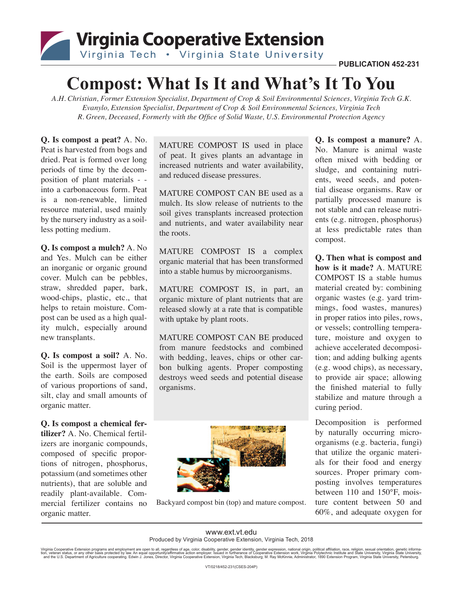## Virginia Cooperative Extension Virginia Tech • Virginia State University

**PUBLICATION 452-231**

## **Compost: What Is It and What's It To You**

*A.H. Christian, Former Extension Specialist, Department of Crop & Soil Environmental Sciences, Virginia Tech G.K. Evanylo, Extension Specialist, Department of Crop & Soil Environmental Sciences, Virginia Tech R. Green, Deceased, Formerly with the Office of Solid Waste, U.S. Environmental Protection Agency*

**Q. Is compost a peat?** A. No. Peat is harvested from bogs and dried. Peat is formed over long periods of time by the decomposition of plant materials - into a carbonaceous form. Peat is a non-renewable, limited resource material, used mainly by the nursery industry as a soilless potting medium.

**Q. Is compost a mulch?** A. No and Yes. Mulch can be either an inorganic or organic ground cover. Mulch can be pebbles, straw, shredded paper, bark, wood-chips, plastic, etc., that helps to retain moisture. Compost can be used as a high quality mulch, especially around new transplants.

**Q. Is compost a soil?** A. No. Soil is the uppermost layer of the earth. Soils are composed of various proportions of sand, silt, clay and small amounts of organic matter.

**Q. Is compost a chemical fertilizer?** A. No. Chemical fertilizers are inorganic compounds, composed of specific proportions of nitrogen, phosphorus, potassium (and sometimes other nutrients), that are soluble and readily plant-available. Commercial fertilizer contains no organic matter.

MATURE COMPOST IS used in place of peat. It gives plants an advantage in increased nutrients and water availability, and reduced disease pressures.

MATURE COMPOST CAN BE used as a mulch. Its slow release of nutrients to the soil gives transplants increased protection and nutrients, and water availability near the roots.

MATURE COMPOST IS a complex organic material that has been transformed into a stable humus by microorganisms.

MATURE COMPOST IS, in part, an organic mixture of plant nutrients that are released slowly at a rate that is compatible with uptake by plant roots.

MATURE COMPOST CAN BE produced from manure feedstocks and combined with bedding, leaves, chips or other carbon bulking agents. Proper composting destroys weed seeds and potential disease organisms.



Backyard compost bin (top) and mature compost.

**Q. Is compost a manure?** A. No. Manure is animal waste often mixed with bedding or sludge, and containing nutrients, weed seeds, and potential disease organisms. Raw or partially processed manure is not stable and can release nutrients (e.g. nitrogen, phosphorus) at less predictable rates than compost.

**Q. Then what is compost and how is it made?** A. MATURE COMPOST IS a stable humus material created by: combining organic wastes (e.g. yard trimmings, food wastes, manures) in proper ratios into piles, rows, or vessels; controlling temperature, moisture and oxygen to achieve accelerated decomposition; and adding bulking agents (e.g. wood chips), as necessary, to provide air space; allowing the finished material to fully stabilize and mature through a curing period.

Decomposition is performed by naturally occurring microorganisms (e.g. bacteria, fungi) that utilize the organic materials for their food and energy sources. Proper primary composting involves temperatures between 110 and 150°F, moisture content between 50 and 60%, and adequate oxygen for

www.ext.vt.edu Produced by Virginia Cooperative Extension, Virginia Tech, 2018

Virginia Cooperative Extension programs and employment are open to all, regardless of age, color, disability, gender, gender identity, gender expression, national origin, political affiliation, race, religion, sexual orien